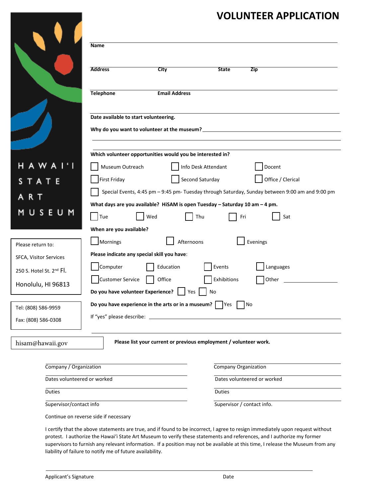## **VOLUNTEER APPLICATION**

|                                                                                    | Name                                                                                            |                                                                      |                     |                             |  |
|------------------------------------------------------------------------------------|-------------------------------------------------------------------------------------------------|----------------------------------------------------------------------|---------------------|-----------------------------|--|
|                                                                                    | <b>Address</b>                                                                                  | City                                                                 | <b>State</b>        | <b>Zip</b>                  |  |
|                                                                                    | <b>Telephone</b>                                                                                | <b>Email Address</b>                                                 |                     |                             |  |
|                                                                                    | Date available to start volunteering.                                                           |                                                                      |                     |                             |  |
|                                                                                    |                                                                                                 | Which volunteer opportunities would you be interested in?            |                     |                             |  |
| H A W A                                                                            | Museum Outreach                                                                                 |                                                                      | Info Desk Attendant | Docent                      |  |
| TATE                                                                               | First Friday                                                                                    |                                                                      | Second Saturday     | Office / Clerical           |  |
|                                                                                    | Special Events, 4:45 pm - 9:45 pm- Tuesday through Saturday, Sunday between 9:00 am and 9:00 pm |                                                                      |                     |                             |  |
| R T<br>What days are you available? HiSAM is open Tuesday - Saturday 10 am - 4 pm. |                                                                                                 |                                                                      |                     |                             |  |
| USEUM                                                                              | $\mathsf{Tue}$                                                                                  | Wed                                                                  | Thu                 | Fri<br>Sat                  |  |
|                                                                                    | When are you available?                                                                         |                                                                      |                     |                             |  |
| Please return to:                                                                  | Mornings                                                                                        | Afternoons                                                           |                     | Evenings                    |  |
| SFCA, Visitor Services                                                             | Please indicate any special skill you have:                                                     |                                                                      |                     |                             |  |
| 250 S. Hotel St. 2nd Fl.                                                           | Computer                                                                                        | Education                                                            | Events              | Languages                   |  |
| Honolulu, HI 96813                                                                 | <b>Customer Service</b>                                                                         | Office                                                               | Exhibitions         | Other                       |  |
|                                                                                    | Do you have volunteer Experience?                                                               | Yes                                                                  | No                  |                             |  |
| Tel: (808) 586-9959                                                                |                                                                                                 | Do you have experience in the arts or in a museum? $\vert \vert$ Yes |                     | No                          |  |
| Fax: (808) 586-0308                                                                |                                                                                                 |                                                                      |                     |                             |  |
| hisam@hawaii.gov                                                                   |                                                                                                 | Please list your current or previous employment / volunteer work.    |                     |                             |  |
| Company / Organization                                                             |                                                                                                 |                                                                      |                     | Company Organization        |  |
| Dates volunteered or worked                                                        |                                                                                                 |                                                                      |                     | Dates volunteered or worked |  |
| <b>Duties</b>                                                                      |                                                                                                 |                                                                      | <b>Duties</b>       |                             |  |
| Supervisor/contact info                                                            |                                                                                                 |                                                                      |                     | Supervisor / contact info.  |  |

I certify that the above statements are true, and if found to be incorrect, I agree to resign immediately upon request without protest. I authorize the Hawai'i State Art Museum to verify these statements and references, and I authorize my former supervisors to furnish any relevant information. If a position may not be available at this time, I release the Museum from any liability of failure to notify me of future availability.